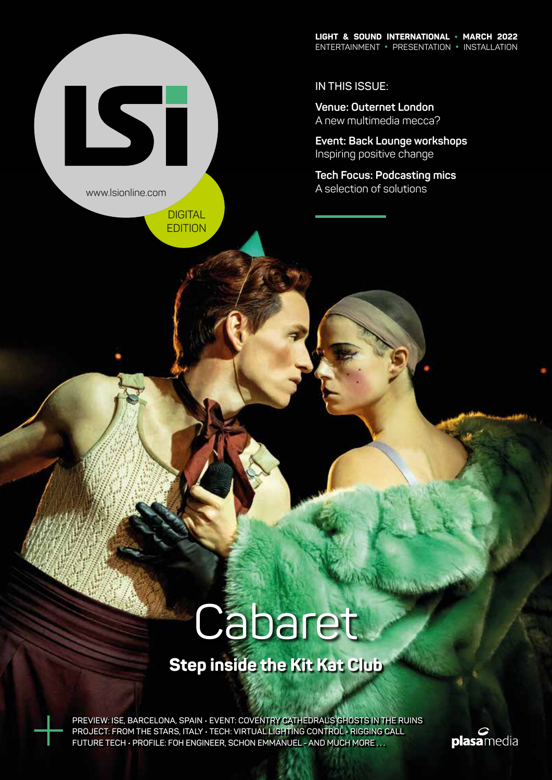**IN THIS ISSUE:**

**Venue: Outernet London** A new multimedia mecca?

**Event: Back Lounge workshops**  Inspiring positive change

**Tech Focus: Podcasting mics** A selection of solutions

www.lsionline.com

IST

DIGITAL EDITION

# Cabaret

### **Step inside the Kit Kat Club**

**PREVIEW: ISE, BARCELONA, SPAIN • EVENT: COVENTRY CATHEDRAL'S GHOSTS IN THE RUINS PROJECT: FROM THE STARS, ITALY • TECH: VIRTUAL LIGHTING CONTROL • RIGGING CALL FUTURE TECH • PROFILE: FOH ENGINEER, SCHON EMMANUEL - AND MUCH MORE . . .**

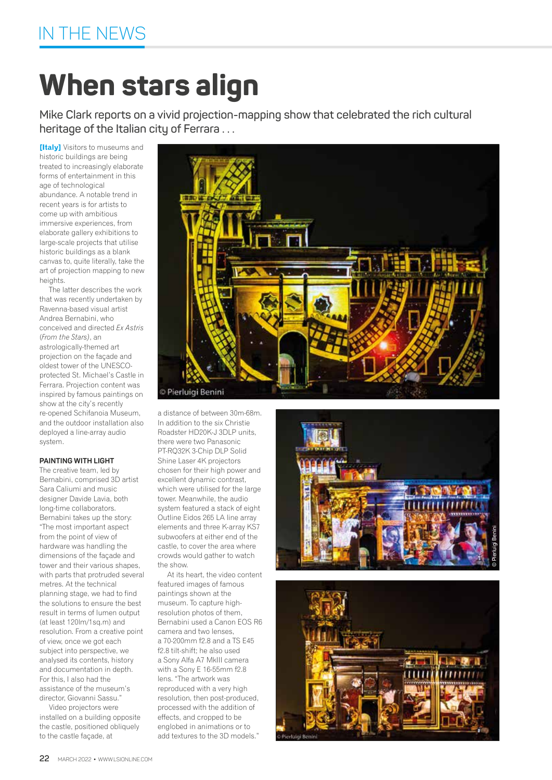## **When stars align**

**Mike Clark reports on a vivid projection-mapping show that celebrated the rich cultural heritage of the Italian city of Ferrara . . .**

**[Italy]** Visitors to museums and historic buildings are being treated to increasingly elaborate forms of entertainment in this age of technological abundance. A notable trend in recent years is for artists to come up with ambitious immersive experiences, from elaborate gallery exhibitions to large-scale projects that utilise historic buildings as a blank canvas to, quite literally, take the art of projection mapping to new heights.

The latter describes the work that was recently undertaken by Ravenna-based visual artist Andrea Bernabini, who conceived and directed *Ex Astris*  (*From the Stars)*, an astrologically-themed art projection on the façade and oldest tower of the UNESCOprotected St. Michael's Castle in Ferrara. Projection content was inspired by famous paintings on show at the city's recently re-opened Schifanoia Museum, and the outdoor installation also deployed a line-array audio system.

#### **PAINTING WITH LIGHT**

The creative team, led by Bernabini, comprised 3D artist Sara Caliumi and music designer Davide Lavia, both long-time collaborators. Bernabini takes up the story: "The most important aspect from the point of view of hardware was handling the dimensions of the façade and tower and their various shapes, with parts that protruded several metres. At the technical planning stage, we had to find the solutions to ensure the best result in terms of lumen output (at least 120lm/1sq.m) and resolution. From a creative point of view, once we got each subject into perspective, we analysed its contents, history and documentation in depth. For this, I also had the assistance of the museum's director, Giovanni Sassu."

Video projectors were installed on a building opposite the castle, positioned obliquely to the castle façade, at



a distance of between 30m-68m. In addition to the six Christie Roadster HD20K-J 3DLP units, there were two Panasonic PT-RQ32K 3-Chip DLP Solid Shine Laser 4K projectors chosen for their high power and excellent dynamic contrast, which were utilised for the large tower. Meanwhile, the audio system featured a stack of eight Outline Eidos 265 LA line array elements and three K-array KS7 subwoofers at either end of the castle, to cover the area where crowds would gather to watch the show.

At its heart, the video content featured images of famous paintings shown at the museum. To capture highresolution photos of them, Bernabini used a Canon EOS R6 camera and two lenses, a 70-200mm f2.8 and a TS E45 f2.8 tilt-shift; he also used a Sony Alfa A7 MkIII camera with a Sony E 16-55mm f2.8 lens. "The artwork was reproduced with a very high resolution, then post-produced, processed with the addition of effects, and cropped to be englobed in animations or to add textures to the 3D models."